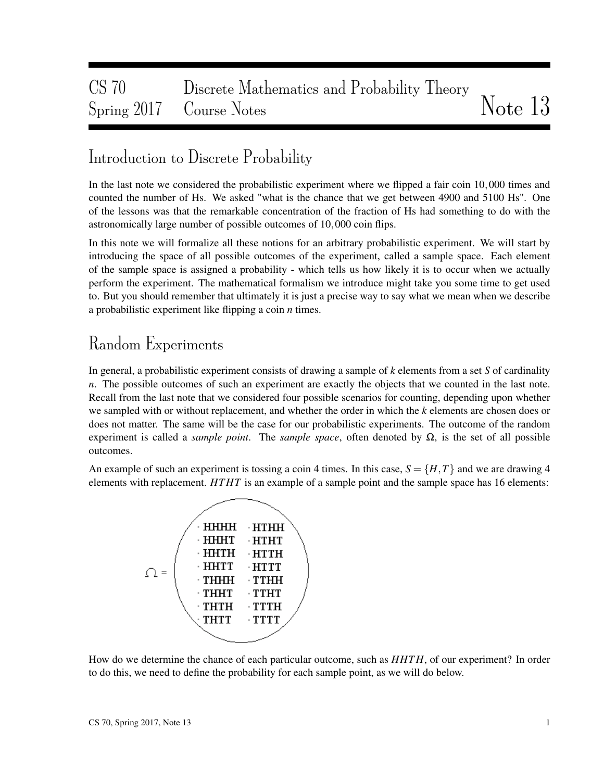# CS 70 Discrete Mathematics and Probability Theory Spring 2017 Course Notes Notes Note 13

### Introduction to Discrete Probability

In the last note we considered the probabilistic experiment where we flipped a fair coin 10,000 times and counted the number of Hs. We asked "what is the chance that we get between 4900 and 5100 Hs". One of the lessons was that the remarkable concentration of the fraction of Hs had something to do with the astronomically large number of possible outcomes of 10,000 coin flips.

In this note we will formalize all these notions for an arbitrary probabilistic experiment. We will start by introducing the space of all possible outcomes of the experiment, called a sample space. Each element of the sample space is assigned a probability - which tells us how likely it is to occur when we actually perform the experiment. The mathematical formalism we introduce might take you some time to get used to. But you should remember that ultimately it is just a precise way to say what we mean when we describe a probabilistic experiment like flipping a coin *n* times.

## Random Experiments

In general, a probabilistic experiment consists of drawing a sample of *k* elements from a set *S* of cardinality *n*. The possible outcomes of such an experiment are exactly the objects that we counted in the last note. Recall from the last note that we considered four possible scenarios for counting, depending upon whether we sampled with or without replacement, and whether the order in which the *k* elements are chosen does or does not matter. The same will be the case for our probabilistic experiments. The outcome of the random experiment is called a *sample point*. The *sample space*, often denoted by  $\Omega$ , is the set of all possible outcomes.

An example of such an experiment is tossing a coin 4 times. In this case,  $S = \{H, T\}$  and we are drawing 4 elements with replacement. *HT HT* is an example of a sample point and the sample space has 16 elements:



How do we determine the chance of each particular outcome, such as *HHT H*, of our experiment? In order to do this, we need to define the probability for each sample point, as we will do below.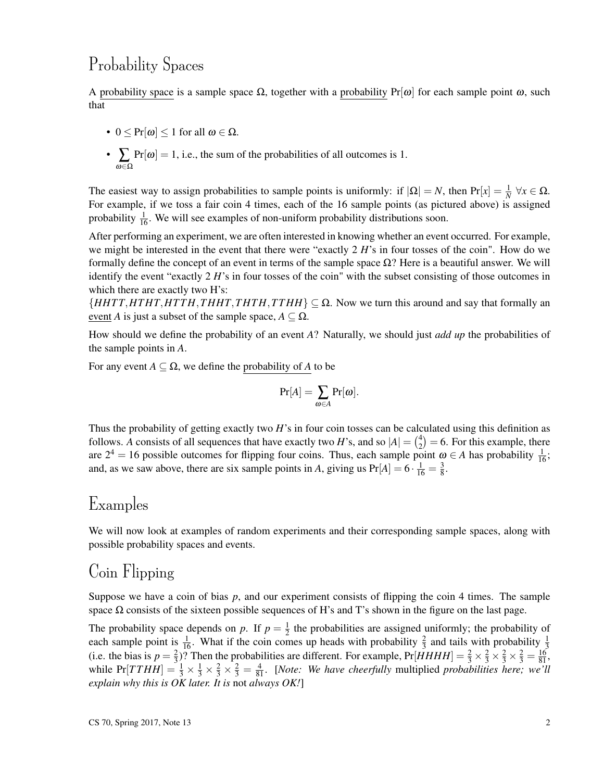## Probability Spaces

A probability space is a sample space  $\Omega$ , together with a probability Pr[ $\omega$ ] for each sample point  $\omega$ , such that

- $0 \leq Pr[\omega] \leq 1$  for all  $\omega \in \Omega$ .
- ∑ ω∈Ω  $Pr[\omega] = 1$ , i.e., the sum of the probabilities of all outcomes is 1.

The easiest way to assign probabilities to sample points is uniformly: if  $|\Omega| = N$ , then  $Pr[x] = \frac{1}{N} \forall x \in \Omega$ . For example, if we toss a fair coin 4 times, each of the 16 sample points (as pictured above) is assigned probability  $\frac{1}{16}$ . We will see examples of non-uniform probability distributions soon.

After performing an experiment, we are often interested in knowing whether an event occurred. For example, we might be interested in the event that there were "exactly 2 *H*'s in four tosses of the coin". How do we formally define the concept of an event in terms of the sample space  $\Omega$ ? Here is a beautiful answer. We will identify the event "exactly 2 *H*'s in four tosses of the coin" with the subset consisting of those outcomes in which there are exactly two H's:

 ${HHTT, HTHT, HTTH, THHT, THTH, THH} \subseteq \Omega$ . Now we turn this around and say that formally an event *A* is just a subset of the sample space,  $A \subseteq \Omega$ .

How should we define the probability of an event *A*? Naturally, we should just *add up* the probabilities of the sample points in *A*.

For any event  $A \subseteq \Omega$ , we define the probability of *A* to be

$$
\Pr[A] = \sum_{\omega \in A} \Pr[\omega].
$$

Thus the probability of getting exactly two *H*'s in four coin tosses can be calculated using this definition as follows. A consists of all sequences that have exactly two *H*'s, and so  $|A| = \binom{4}{2}$  $\binom{4}{2}$  = 6. For this example, there are  $2^4 = 16$  possible outcomes for flipping four coins. Thus, each sample point  $\omega \in A$  has probability  $\frac{1}{16}$ ; and, as we saw above, there are six sample points in *A*, giving us  $Pr[A] = 6 \cdot \frac{1}{16} = \frac{3}{8}$  $\frac{3}{8}$ .

### Examples

We will now look at examples of random experiments and their corresponding sample spaces, along with possible probability spaces and events.

## Coin Flipping

Suppose we have a coin of bias  $p$ , and our experiment consists of flipping the coin 4 times. The sample space  $\Omega$  consists of the sixteen possible sequences of H's and T's shown in the figure on the last page.

The probability space depends on p. If  $p = \frac{1}{2}$  $\frac{1}{2}$  the probabilities are assigned uniformly; the probability of each sample point is  $\frac{1}{16}$ . What if the coin comes up heads with probability  $\frac{2}{3}$  and tails with probability  $\frac{1}{3}$ (i.e. the bias is  $p = \frac{2}{3}$  $\frac{2}{3}$ )? Then the probabilities are different. For example,  $Pr[HHHH] = \frac{2}{3} \times \frac{2}{3} \times \frac{2}{3} \times \frac{2}{3} = \frac{16}{81}$ , while  $Pr[TTHH] = \frac{1}{3} \times \frac{1}{3} \times \frac{2}{3} \times \frac{2}{3} = \frac{4}{81}$ . [*Note: We have cheerfully* multiplied *probabilities here; we'll explain why this is OK later. It is* not *always OK!*]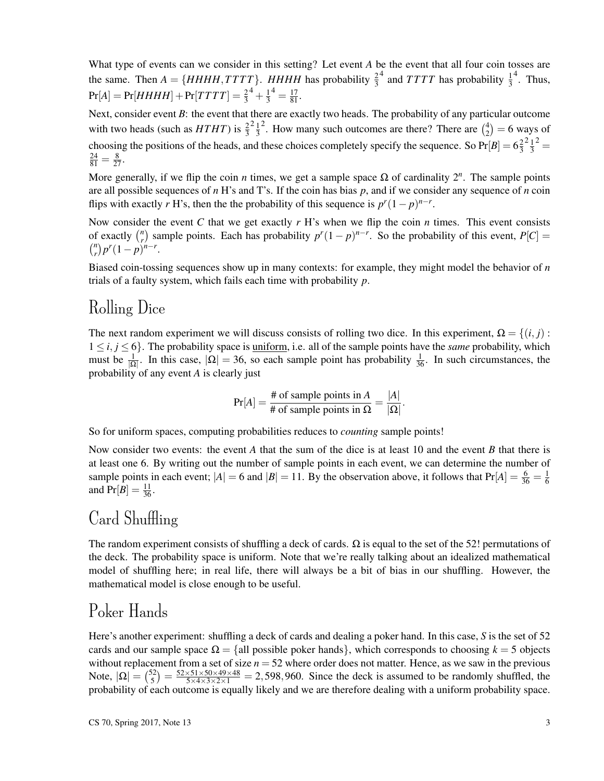What type of events can we consider in this setting? Let event *A* be the event that all four coin tosses are the same. Then  $A = \{HHHH, TTTT\}$ . *HHHH* has probability  $\frac{2}{3}$  $^4$  and *TTTT* has probability  $\frac{1}{3}$  $<sup>4</sup>$ . Thus,</sup>  $Pr[A] = Pr[HHHH] + Pr[TTTT] = \frac{2}{3}$  $^{4}+\frac{1}{3}$ 3  $4 = \frac{17}{81}.$ 

Next, consider event *B*: the event that there are exactly two heads. The probability of any particular outcome with two heads (such as  $HTHT$ ) is  $\frac{2}{3}$  $\frac{2}{1}$ 3 <sup>2</sup>. How many such outcomes are there? There are  $\binom{4}{2}$  $_{2}^{4}) = 6$  ways of choosing the positions of the heads, and these choices completely specify the sequence. So  $Pr[B] = 6\frac{2}{3}$ 3  $\frac{2}{1}$ 3  $2\equiv$  $\frac{24}{81} = \frac{8}{27}.$ 

More generally, if we flip the coin *n* times, we get a sample space  $\Omega$  of cardinality  $2^n$ . The sample points are all possible sequences of *n* H's and T's. If the coin has bias *p*, and if we consider any sequence of *n* coin flips with exactly *r* H's, then the the probability of this sequence is  $p^r(1-p)^{n-r}$ .

Now consider the event *C* that we get exactly  $r$  H's when we flip the coin  $n$  times. This event consists of exactly  $\binom{n}{r}$  $r$ <sup>*n*</sup>) sample points. Each has probability  $p^r(1-p)^{n-r}$ . So the probability of this event,  $P[C] =$  *n*  $\binom{n}{r} p^r (1-p)^{n-r}.$ 

Biased coin-tossing sequences show up in many contexts: for example, they might model the behavior of *n* trials of a faulty system, which fails each time with probability *p*.

#### Rolling Dice

The next random experiment we will discuss consists of rolling two dice. In this experiment,  $\Omega = \{(i, j):$  $1 \le i, j \le 6$ . The probability space is <u>uniform</u>, i.e. all of the sample points have the *same* probability, which must be  $\frac{1}{|\Omega|}$ . In this case,  $|\Omega| = 36$ , so each sample point has probability  $\frac{1}{36}$ . In such circumstances, the probability of any event *A* is clearly just

$$
Pr[A] = \frac{\text{\# of sample points in } A}{\text{\# of sample points in } \Omega} = \frac{|A|}{|\Omega|}.
$$

So for uniform spaces, computing probabilities reduces to *counting* sample points!

Now consider two events: the event *A* that the sum of the dice is at least 10 and the event *B* that there is at least one 6. By writing out the number of sample points in each event, we can determine the number of sample points in each event;  $|A| = 6$  and  $|B| = 11$ . By the observation above, it follows that  $Pr[A] = \frac{6}{36} = \frac{1}{6}$ 6 and  $Pr[B] = \frac{11}{36}$ .

### Card Shuffling

The random experiment consists of shuffling a deck of cards.  $\Omega$  is equal to the set of the 52! permutations of the deck. The probability space is uniform. Note that we're really talking about an idealized mathematical model of shuffling here; in real life, there will always be a bit of bias in our shuffling. However, the mathematical model is close enough to be useful.

## Poker Hands

Here's another experiment: shuffling a deck of cards and dealing a poker hand. In this case, *S* is the set of 52 cards and our sample space  $\Omega = \{$ all possible poker hands $\}$ , which corresponds to choosing  $k = 5$  objects without replacement from a set of size  $n = 52$  where order does not matter. Hence, as we saw in the previous Note,  $|\Omega| = \binom{52}{5}$  $\frac{52}{5}$ ) =  $\frac{52\times51\times50\times49\times48}{5\times4\times3\times2\times1}$  = 2,598,960. Since the deck is assumed to be randomly shuffled, the probability of each outcome is equally likely and we are therefore dealing with a uniform probability space.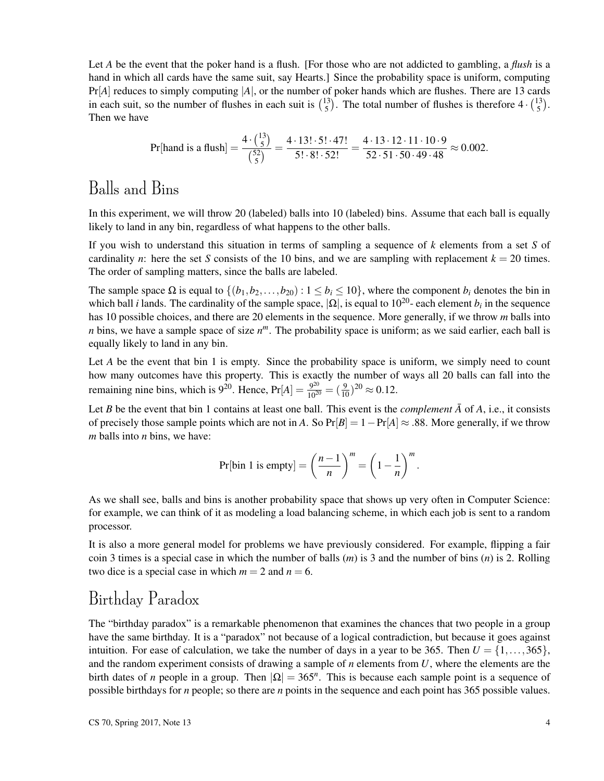Let *A* be the event that the poker hand is a flush. [For those who are not addicted to gambling, a *flush* is a hand in which all cards have the same suit, say Hearts.] Since the probability space is uniform, computing  $Pr[A]$  reduces to simply computing  $|A|$ , or the number of poker hands which are flushes. There are 13 cards in each suit, so the number of flushes in each suit is  $\binom{13}{5}$  $\frac{13}{5}$ . The total number of flushes is therefore  $4 \cdot \binom{13}{5}$  $\binom{13}{5}$ . Then we have

$$
\Pr[\text{hand is a flush}] = \frac{4 \cdot {3 \choose 5}}{\binom{52}{5}} = \frac{4 \cdot 13! \cdot 5! \cdot 47!}{5! \cdot 8! \cdot 52!} = \frac{4 \cdot 13 \cdot 12 \cdot 11 \cdot 10 \cdot 9}{52 \cdot 51 \cdot 50 \cdot 49 \cdot 48} \approx 0.002.
$$

### Balls and Bins

In this experiment, we will throw 20 (labeled) balls into 10 (labeled) bins. Assume that each ball is equally likely to land in any bin, regardless of what happens to the other balls.

If you wish to understand this situation in terms of sampling a sequence of *k* elements from a set *S* of cardinality *n*: here the set *S* consists of the 10 bins, and we are sampling with replacement  $k = 20$  times. The order of sampling matters, since the balls are labeled.

The sample space  $\Omega$  is equal to  $\{(b_1, b_2, \ldots, b_{20}) : 1 \leq b_i \leq 10\}$ , where the component  $b_i$  denotes the bin in which ball *i* lands. The cardinality of the sample space,  $|\Omega|$ , is equal to 10<sup>20</sup>- each element  $b_i$  in the sequence has 10 possible choices, and there are 20 elements in the sequence. More generally, if we throw *m* balls into *n* bins, we have a sample space of size *n <sup>m</sup>*. The probability space is uniform; as we said earlier, each ball is equally likely to land in any bin.

Let *A* be the event that bin 1 is empty. Since the probability space is uniform, we simply need to count how many outcomes have this property. This is exactly the number of ways all 20 balls can fall into the remaining nine bins, which is 9<sup>20</sup>. Hence,  $Pr[A] = \frac{9^{20}}{10^{20}} = (\frac{9}{10})^{20} \approx 0.12$ .

Let *B* be the event that bin 1 contains at least one ball. This event is the *complement*  $\overline{A}$  of  $A$ , i.e., it consists of precisely those sample points which are not in *A*. So  $Pr[B] = 1 - Pr[A] \approx .88$ . More generally, if we throw *m* balls into *n* bins, we have:

Pr[bin 1 is empty] = 
$$
\left(\frac{n-1}{n}\right)^m
$$
 =  $\left(1 - \frac{1}{n}\right)^m$ .

As we shall see, balls and bins is another probability space that shows up very often in Computer Science: for example, we can think of it as modeling a load balancing scheme, in which each job is sent to a random processor.

It is also a more general model for problems we have previously considered. For example, flipping a fair coin 3 times is a special case in which the number of balls (*m*) is 3 and the number of bins (*n*) is 2. Rolling two dice is a special case in which  $m = 2$  and  $n = 6$ .

#### Birthday Paradox

The "birthday paradox" is a remarkable phenomenon that examines the chances that two people in a group have the same birthday. It is a "paradox" not because of a logical contradiction, but because it goes against intuition. For ease of calculation, we take the number of days in a year to be 365. Then  $U = \{1, \ldots, 365\}$ , and the random experiment consists of drawing a sample of *n* elements from *U*, where the elements are the birth dates of *n* people in a group. Then  $|\Omega| = 365^n$ . This is because each sample point is a sequence of possible birthdays for *n* people; so there are *n* points in the sequence and each point has 365 possible values.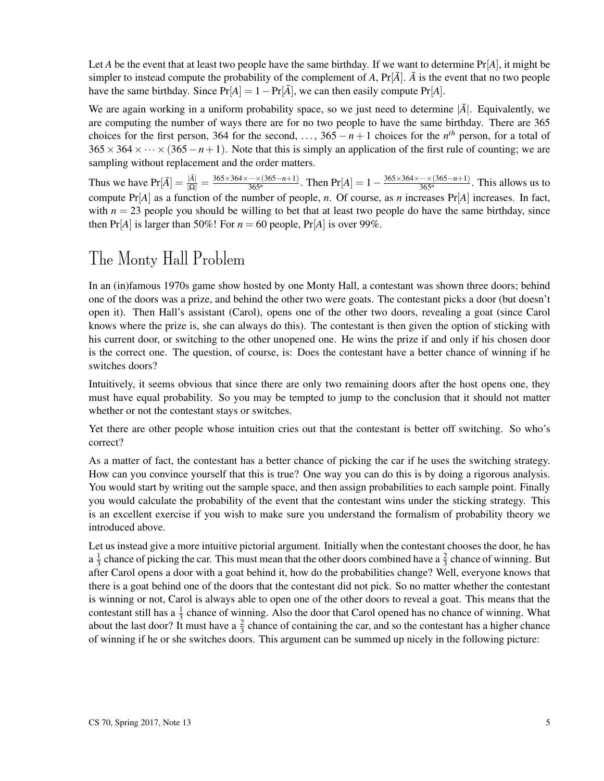Let *A* be the event that at least two people have the same birthday. If we want to determine  $Pr[A]$ , it might be simpler to instead compute the probability of the complement of A,  $Pr[\bar{A}]$ .  $\bar{A}$  is the event that no two people have the same birthday. Since  $Pr[A] = 1 - Pr[\overline{A}]$ , we can then easily compute  $Pr[A]$ .

We are again working in a uniform probability space, so we just need to determine  $|\bar{A}|$ . Equivalently, we are computing the number of ways there are for no two people to have the same birthday. There are 365 choices for the first person, 364 for the second, ...,  $365 - n + 1$  choices for the  $n<sup>th</sup>$  person, for a total of  $365 \times 364 \times \cdots \times (365 - n + 1)$ . Note that this is simply an application of the first rule of counting; we are sampling without replacement and the order matters.

Thus we have  $Pr[\bar{A}] = \frac{|\bar{A}|}{|\Omega|} = \frac{365 \times 364 \times \dots \times (365 - n + 1)}{365^n}$ . Then  $Pr[A] = 1 - \frac{365 \times 364 \times \dots \times (365 - n + 1)}{365^n}$ . This allows us to compute Pr[*A*] as a function of the number of people, *n*. Of course, as *n* increases Pr[*A*] increases. In fact, with  $n = 23$  people you should be willing to bet that at least two people do have the same birthday, since then  $Pr[A]$  is larger than 50%! For  $n = 60$  people,  $Pr[A]$  is over 99%.

### The Monty Hall Problem

In an (in)famous 1970s game show hosted by one Monty Hall, a contestant was shown three doors; behind one of the doors was a prize, and behind the other two were goats. The contestant picks a door (but doesn't open it). Then Hall's assistant (Carol), opens one of the other two doors, revealing a goat (since Carol knows where the prize is, she can always do this). The contestant is then given the option of sticking with his current door, or switching to the other unopened one. He wins the prize if and only if his chosen door is the correct one. The question, of course, is: Does the contestant have a better chance of winning if he switches doors?

Intuitively, it seems obvious that since there are only two remaining doors after the host opens one, they must have equal probability. So you may be tempted to jump to the conclusion that it should not matter whether or not the contestant stays or switches.

Yet there are other people whose intuition cries out that the contestant is better off switching. So who's correct?

As a matter of fact, the contestant has a better chance of picking the car if he uses the switching strategy. How can you convince yourself that this is true? One way you can do this is by doing a rigorous analysis. You would start by writing out the sample space, and then assign probabilities to each sample point. Finally you would calculate the probability of the event that the contestant wins under the sticking strategy. This is an excellent exercise if you wish to make sure you understand the formalism of probability theory we introduced above.

Let us instead give a more intuitive pictorial argument. Initially when the contestant chooses the door, he has  $a \frac{1}{3}$  $\frac{1}{3}$  chance of picking the car. This must mean that the other doors combined have a  $\frac{2}{3}$  chance of winning. But after Carol opens a door with a goat behind it, how do the probabilities change? Well, everyone knows that there is a goat behind one of the doors that the contestant did not pick. So no matter whether the contestant is winning or not, Carol is always able to open one of the other doors to reveal a goat. This means that the contestant still has a  $\frac{1}{3}$  chance of winning. Also the door that Carol opened has no chance of winning. What about the last door? It must have a  $\frac{2}{3}$  chance of containing the car, and so the contestant has a higher chance of winning if he or she switches doors. This argument can be summed up nicely in the following picture: